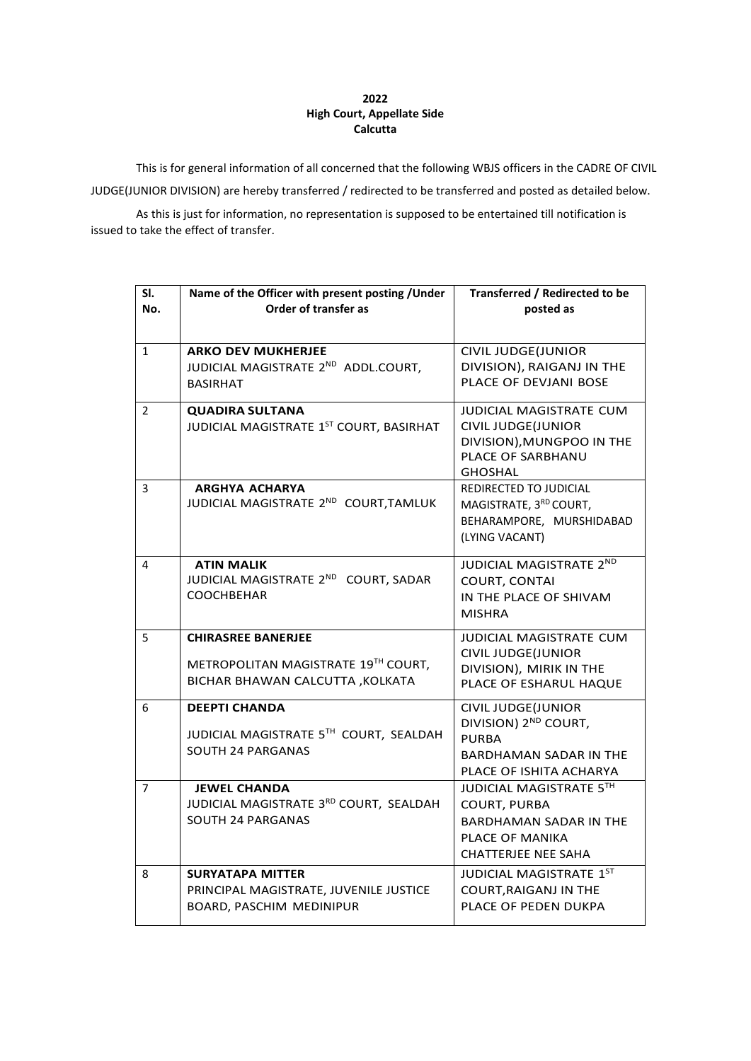## **2022 High Court, Appellate Side Calcutta**

This is for general information of all concerned that the following WBJS officers in the CADRE OF CIVIL

JUDGE(JUNIOR DIVISION) are hereby transferred / redirected to be transferred and posted as detailed below.

As this is just for information, no representation is supposed to be entertained till notification is issued to take the effect of transfer.

| SI.<br>No.     | Name of the Officer with present posting / Under<br>Order of transfer as                             | Transferred / Redirected to be<br>posted as                                                                                        |
|----------------|------------------------------------------------------------------------------------------------------|------------------------------------------------------------------------------------------------------------------------------------|
|                |                                                                                                      |                                                                                                                                    |
| $\mathbf{1}$   | <b>ARKO DEV MUKHERJEE</b><br>JUDICIAL MAGISTRATE 2ND ADDL.COURT,<br><b>BASIRHAT</b>                  | <b>CIVIL JUDGE(JUNIOR</b><br>DIVISION), RAIGANJ IN THE<br>PLACE OF DEVJANI BOSE                                                    |
| $\overline{2}$ | <b>QUADIRA SULTANA</b><br>JUDICIAL MAGISTRATE 1ST COURT, BASIRHAT                                    | JUDICIAL MAGISTRATE CUM<br><b>CIVIL JUDGE(JUNIOR</b><br>DIVISION), MUNGPOO IN THE<br>PLACE OF SARBHANU<br><b>GHOSHAL</b>           |
| 3              | <b>ARGHYA ACHARYA</b><br>JUDICIAL MAGISTRATE 2ND COURT, TAMLUK                                       | REDIRECTED TO JUDICIAL<br>MAGISTRATE, 3RD COURT,<br>BEHARAMPORE, MURSHIDABAD<br>(LYING VACANT)                                     |
| 4              | <b>ATIN MALIK</b><br>JUDICIAL MAGISTRATE 2ND COURT, SADAR<br><b>COOCHBEHAR</b>                       | <b>JUDICIAL MAGISTRATE 2ND</b><br><b>COURT, CONTAI</b><br>IN THE PLACE OF SHIVAM<br><b>MISHRA</b>                                  |
| 5              | <b>CHIRASREE BANERJEE</b><br>METROPOLITAN MAGISTRATE 19TH COURT,<br>BICHAR BHAWAN CALCUTTA , KOLKATA | <b>JUDICIAL MAGISTRATE CUM</b><br><b>CIVIL JUDGE(JUNIOR</b><br>DIVISION), MIRIK IN THE<br>PLACE OF ESHARUL HAQUE                   |
| 6              | <b>DEEPTI CHANDA</b><br>JUDICIAL MAGISTRATE 5TH COURT, SEALDAH<br>SOUTH 24 PARGANAS                  | <b>CIVIL JUDGE(JUNIOR</b><br>DIVISION) 2 <sup>ND</sup> COURT,<br>PURBA<br><b>BARDHAMAN SADAR IN THE</b><br>PLACE OF ISHITA ACHARYA |
| $\overline{7}$ | <b>JEWEL CHANDA</b><br>JUDICIAL MAGISTRATE 3RD COURT, SEALDAH<br><b>SOUTH 24 PARGANAS</b>            | JUDICIAL MAGISTRATE 5TH<br><b>COURT, PURBA</b><br><b>BARDHAMAN SADAR IN THE</b><br>PLACE OF MANIKA<br><b>CHATTERJEE NEE SAHA</b>   |
| 8              | <b>SURYATAPA MITTER</b><br>PRINCIPAL MAGISTRATE, JUVENILE JUSTICE<br>BOARD, PASCHIM MEDINIPUR        | JUDICIAL MAGISTRATE 1ST<br><b>COURT, RAIGANJ IN THE</b><br>PLACE OF PEDEN DUKPA                                                    |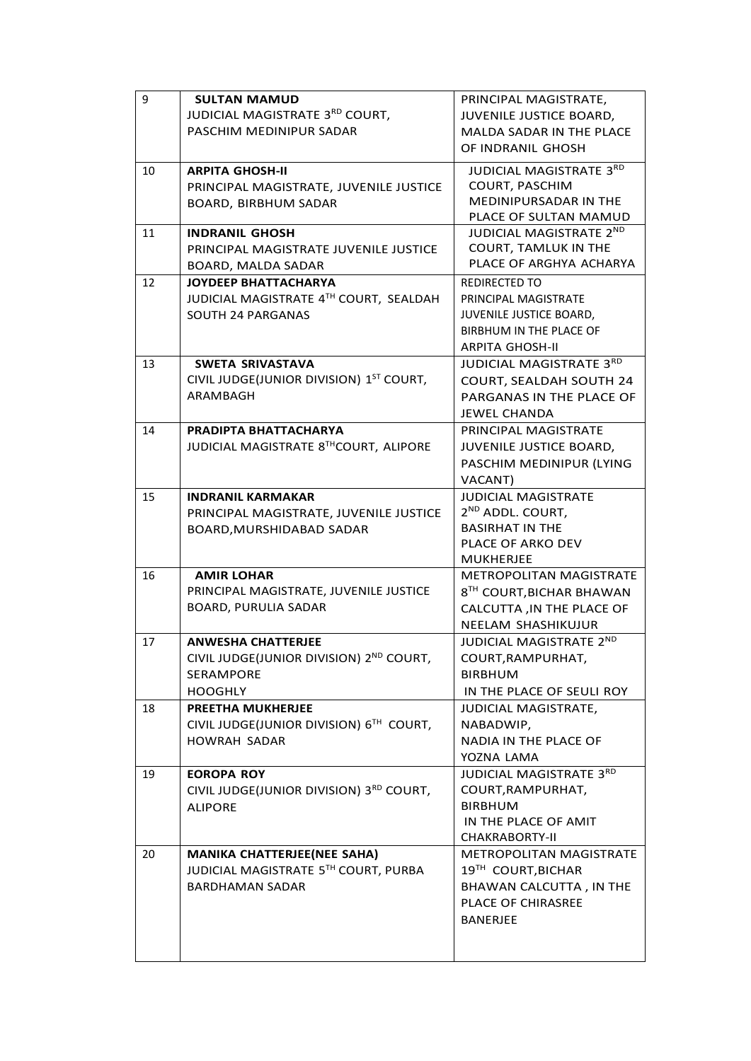| 9  | <b>SULTAN MAMUD</b>                                         | PRINCIPAL MAGISTRATE,                                      |
|----|-------------------------------------------------------------|------------------------------------------------------------|
|    | JUDICIAL MAGISTRATE 3RD COURT,                              | JUVENILE JUSTICE BOARD,                                    |
|    | PASCHIM MEDINIPUR SADAR                                     | MALDA SADAR IN THE PLACE                                   |
|    |                                                             | OF INDRANIL GHOSH                                          |
| 10 | <b>ARPITA GHOSH-II</b>                                      | JUDICIAL MAGISTRATE 3RD                                    |
|    |                                                             | <b>COURT, PASCHIM</b>                                      |
|    | PRINCIPAL MAGISTRATE, JUVENILE JUSTICE                      | MEDINIPURSADAR IN THE                                      |
|    | <b>BOARD, BIRBHUM SADAR</b>                                 | PLACE OF SULTAN MAMUD                                      |
| 11 | <b>INDRANIL GHOSH</b>                                       | JUDICIAL MAGISTRATE 2ND                                    |
|    | PRINCIPAL MAGISTRATE JUVENILE JUSTICE                       | <b>COURT, TAMLUK IN THE</b>                                |
|    | BOARD, MALDA SADAR                                          | PLACE OF ARGHYA ACHARYA                                    |
| 12 | <b>JOYDEEP BHATTACHARYA</b>                                 | <b>REDIRECTED TO</b>                                       |
|    | JUDICIAL MAGISTRATE 4TH COURT, SEALDAH                      | PRINCIPAL MAGISTRATE                                       |
|    |                                                             | JUVENILE JUSTICE BOARD,                                    |
|    | SOUTH 24 PARGANAS                                           | BIRBHUM IN THE PLACE OF                                    |
|    |                                                             | <b>ARPITA GHOSH-II</b>                                     |
|    | <b>SWETA SRIVASTAVA</b>                                     | JUDICIAL MAGISTRATE 3RD                                    |
| 13 | CIVIL JUDGE(JUNIOR DIVISION) 1ST COURT,                     |                                                            |
|    | ARAMBAGH                                                    | COURT, SEALDAH SOUTH 24                                    |
|    |                                                             | PARGANAS IN THE PLACE OF                                   |
|    |                                                             | <b>JEWEL CHANDA</b>                                        |
| 14 | PRADIPTA BHATTACHARYA                                       | PRINCIPAL MAGISTRATE                                       |
|    | JUDICIAL MAGISTRATE 8THCOURT, ALIPORE                       | JUVENILE JUSTICE BOARD,                                    |
|    |                                                             | PASCHIM MEDINIPUR (LYING                                   |
|    |                                                             | VACANT)                                                    |
| 15 | <b>INDRANIL KARMAKAR</b>                                    | <b>JUDICIAL MAGISTRATE</b>                                 |
|    | PRINCIPAL MAGISTRATE, JUVENILE JUSTICE                      | 2 <sup>ND</sup> ADDL. COURT,                               |
|    | BOARD, MURSHIDABAD SADAR                                    | <b>BASIRHAT IN THE</b>                                     |
|    |                                                             | PLACE OF ARKO DEV                                          |
|    |                                                             | MUKHERJEE                                                  |
| 16 | <b>AMIR LOHAR</b><br>PRINCIPAL MAGISTRATE, JUVENILE JUSTICE | <b>METROPOLITAN MAGISTRATE</b><br>8TH COURT, BICHAR BHAWAN |
|    | <b>BOARD, PURULIA SADAR</b>                                 |                                                            |
|    |                                                             | CALCUTTA, IN THE PLACE OF                                  |
|    |                                                             | NEELAM SHASHIKUJUR                                         |
| 17 | <b>ANWESHA CHATTERJEE</b>                                   | <b>JUDICIAL MAGISTRATE 2ND</b>                             |
|    | CIVIL JUDGE(JUNIOR DIVISION) 2ND COURT,                     | COURT, RAMPURHAT,                                          |
|    | SERAMPORE                                                   | BIRBHUM                                                    |
|    | <b>HOOGHLY</b>                                              | IN THE PLACE OF SEULI ROY                                  |
| 18 | <b>PREETHA MUKHERJEE</b>                                    | <b>JUDICIAL MAGISTRATE,</b>                                |
|    | CIVIL JUDGE(JUNIOR DIVISION) 6TH COURT,                     | NABADWIP,                                                  |
|    | <b>HOWRAH SADAR</b>                                         | <b>NADIA IN THE PLACE OF</b>                               |
|    |                                                             | YOZNA LAMA                                                 |
| 19 | <b>EOROPA ROY</b>                                           | JUDICIAL MAGISTRATE 3RD                                    |
|    | CIVIL JUDGE(JUNIOR DIVISION) 3RD COURT,                     | COURT, RAMPURHAT,                                          |
|    | <b>ALIPORE</b>                                              | BIRBHUM                                                    |
|    |                                                             | IN THE PLACE OF AMIT                                       |
|    |                                                             | <b>CHAKRABORTY-II</b>                                      |
| 20 | <b>MANIKA CHATTERJEE(NEE SAHA)</b>                          | METROPOLITAN MAGISTRATE                                    |
|    | JUDICIAL MAGISTRATE 5TH COURT, PURBA                        | 19TH COURT, BICHAR                                         |
|    | <b>BARDHAMAN SADAR</b>                                      | BHAWAN CALCUTTA, IN THE                                    |
|    |                                                             | PLACE OF CHIRASREE                                         |
|    |                                                             | <b>BANERJEE</b>                                            |
|    |                                                             |                                                            |
|    |                                                             |                                                            |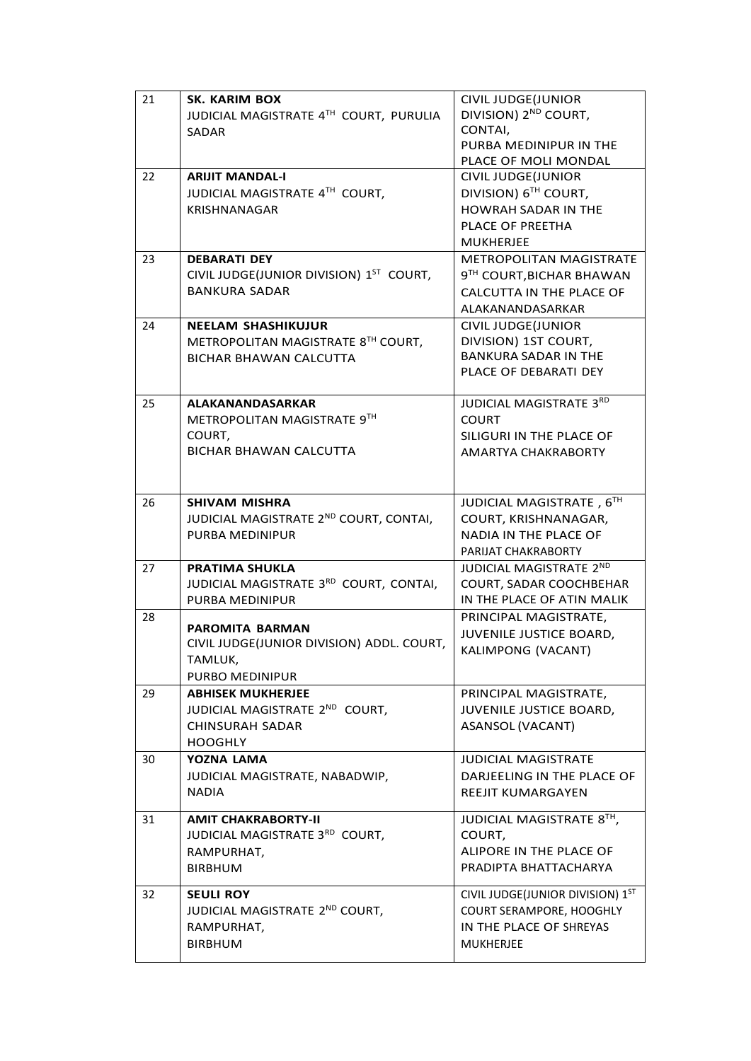| 21 | <b>SK. KARIM BOX</b>                                                | <b>CIVIL JUDGE(JUNIOR</b>        |
|----|---------------------------------------------------------------------|----------------------------------|
|    | JUDICIAL MAGISTRATE 4TH COURT, PURULIA                              | DIVISION) 2 <sup>ND</sup> COURT, |
|    | SADAR                                                               | CONTAI,                          |
|    |                                                                     | PURBA MEDINIPUR IN THE           |
|    |                                                                     | PLACE OF MOLI MONDAL             |
| 22 | <b>ARIJIT MANDAL-I</b>                                              | <b>CIVIL JUDGE(JUNIOR</b>        |
|    | JUDICIAL MAGISTRATE 4TH COURT,                                      | DIVISION) 6 <sup>TH</sup> COURT, |
|    | <b>KRISHNANAGAR</b>                                                 | <b>HOWRAH SADAR IN THE</b>       |
|    |                                                                     | PLACE OF PREETHA                 |
|    |                                                                     | <b>MUKHERJEE</b>                 |
| 23 | <b>DEBARATI DEY</b>                                                 | METROPOLITAN MAGISTRATE          |
|    | CIVIL JUDGE(JUNIOR DIVISION) 1ST COURT,                             | 9TH COURT, BICHAR BHAWAN         |
|    | <b>BANKURA SADAR</b>                                                | CALCUTTA IN THE PLACE OF         |
|    |                                                                     | ALAKANANDASARKAR                 |
| 24 | <b>NEELAM SHASHIKUJUR</b>                                           | CIVIL JUDGE(JUNIOR               |
|    | METROPOLITAN MAGISTRATE 8TH COURT,                                  | DIVISION) 1ST COURT,             |
|    | <b>BICHAR BHAWAN CALCUTTA</b>                                       | <b>BANKURA SADAR IN THE</b>      |
|    |                                                                     | PLACE OF DEBARATI DEY            |
| 25 | ALAKANANDASARKAR                                                    | JUDICIAL MAGISTRATE 3RD          |
|    | METROPOLITAN MAGISTRATE 9TH                                         | <b>COURT</b>                     |
|    | COURT,                                                              | SILIGURI IN THE PLACE OF         |
|    | <b>BICHAR BHAWAN CALCUTTA</b>                                       | AMARTYA CHAKRABORTY              |
|    |                                                                     |                                  |
|    |                                                                     |                                  |
| 26 | <b>SHIVAM MISHRA</b>                                                | JUDICIAL MAGISTRATE, 6TH         |
|    | JUDICIAL MAGISTRATE 2ND COURT, CONTAI,                              | COURT, KRISHNANAGAR,             |
|    | <b>PURBA MEDINIPUR</b>                                              | <b>NADIA IN THE PLACE OF</b>     |
|    |                                                                     | PARIJAT CHAKRABORTY              |
| 27 | <b>PRATIMA SHUKLA</b>                                               | JUDICIAL MAGISTRATE 2ND          |
|    | JUDICIAL MAGISTRATE 3RD COURT, CONTAI,                              | COURT, SADAR COOCHBEHAR          |
|    | PURBA MEDINIPUR                                                     | IN THE PLACE OF ATIN MALIK       |
| 28 |                                                                     | PRINCIPAL MAGISTRATE,            |
|    | <b>PAROMITA BARMAN</b><br>CIVIL JUDGE(JUNIOR DIVISION) ADDL. COURT, | JUVENILE JUSTICE BOARD,          |
|    | TAMLUK,                                                             | KALIMPONG (VACANT)               |
|    | PURBO MEDINIPUR                                                     |                                  |
| 29 | <b>ABHISEK MUKHERJEE</b>                                            | PRINCIPAL MAGISTRATE,            |
|    | JUDICIAL MAGISTRATE 2ND COURT,                                      | JUVENILE JUSTICE BOARD,          |
|    | CHINSURAH SADAR                                                     | ASANSOL (VACANT)                 |
|    | <b>HOOGHLY</b>                                                      |                                  |
| 30 | YOZNA LAMA                                                          | <b>JUDICIAL MAGISTRATE</b>       |
|    | JUDICIAL MAGISTRATE, NABADWIP,                                      | DARJEELING IN THE PLACE OF       |
|    | <b>NADIA</b>                                                        | REEJIT KUMARGAYEN                |
|    |                                                                     |                                  |
| 31 | <b>AMIT CHAKRABORTY-II</b>                                          | JUDICIAL MAGISTRATE 8TH,         |
|    | JUDICIAL MAGISTRATE 3RD COURT,                                      | COURT,                           |
|    | RAMPURHAT,                                                          | ALIPORE IN THE PLACE OF          |
|    | <b>BIRBHUM</b>                                                      | PRADIPTA BHATTACHARYA            |
| 32 | <b>SEULI ROY</b>                                                    | CIVIL JUDGE(JUNIOR DIVISION) 1ST |
|    | JUDICIAL MAGISTRATE 2ND COURT,                                      | COURT SERAMPORE, HOOGHLY         |
|    | RAMPURHAT,                                                          | IN THE PLACE OF SHREYAS          |
|    | <b>BIRBHUM</b>                                                      | <b>MUKHERJEE</b>                 |
|    |                                                                     |                                  |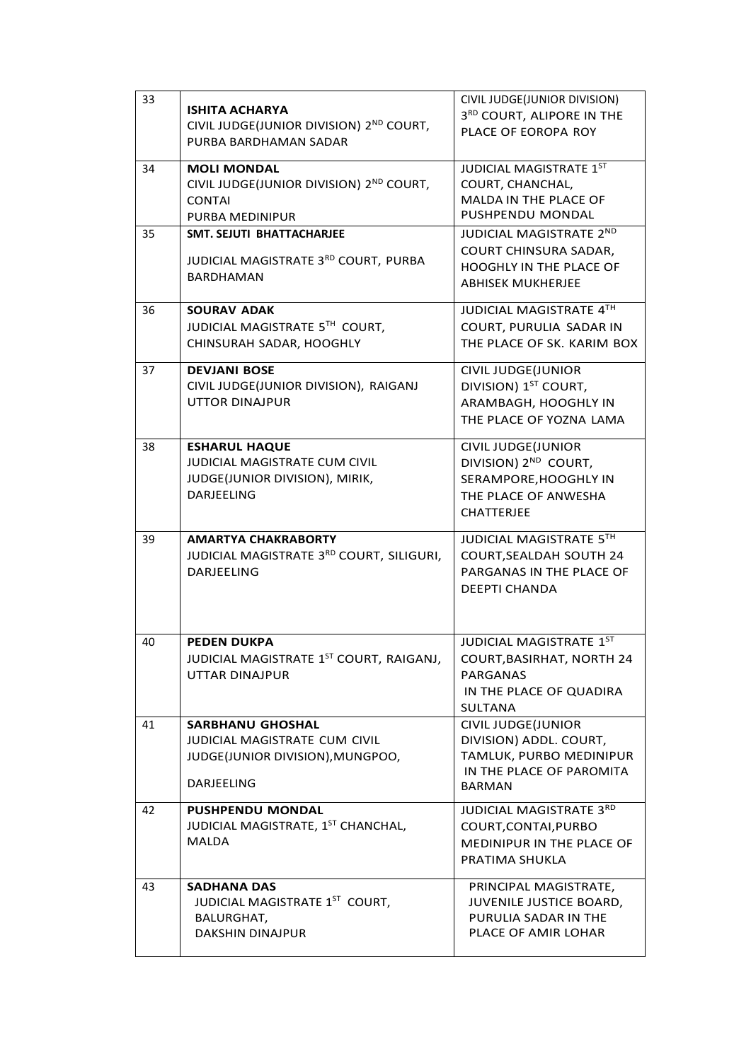| 33 | ISHITA ACHARYA<br>CIVIL JUDGE(JUNIOR DIVISION) 2ND COURT,<br>PURBA BARDHAMAN SADAR                                | CIVIL JUDGE(JUNIOR DIVISION)<br>3RD COURT, ALIPORE IN THE<br>PLACE OF EOROPA ROY                                             |
|----|-------------------------------------------------------------------------------------------------------------------|------------------------------------------------------------------------------------------------------------------------------|
| 34 | <b>MOLI MONDAL</b><br>CIVIL JUDGE(JUNIOR DIVISION) 2ND COURT,<br><b>CONTAI</b><br>PURBA MEDINIPUR                 | JUDICIAL MAGISTRATE 1ST<br>COURT, CHANCHAL,<br>MALDA IN THE PLACE OF<br>PUSHPENDU MONDAL                                     |
| 35 | <b>SMT. SEJUTI BHATTACHARJEE</b><br>JUDICIAL MAGISTRATE 3RD COURT, PURBA<br><b>BARDHAMAN</b>                      | <b>JUDICIAL MAGISTRATE 2ND</b><br>COURT CHINSURA SADAR,<br>HOOGHLY IN THE PLACE OF<br><b>ABHISEK MUKHERJEE</b>               |
| 36 | <b>SOURAV ADAK</b><br>JUDICIAL MAGISTRATE 5TH COURT,<br>CHINSURAH SADAR, HOOGHLY                                  | JUDICIAL MAGISTRATE 4TH<br>COURT, PURULIA SADAR IN<br>THE PLACE OF SK. KARIM BOX                                             |
| 37 | <b>DEVJANI BOSE</b><br>CIVIL JUDGE(JUNIOR DIVISION), RAIGANJ<br><b>UTTOR DINAJPUR</b>                             | CIVIL JUDGE(JUNIOR<br>DIVISION) 1ST COURT,<br>ARAMBAGH, HOOGHLY IN<br>THE PLACE OF YOZNA LAMA                                |
| 38 | <b>ESHARUL HAQUE</b><br>JUDICIAL MAGISTRATE CUM CIVIL<br>JUDGE(JUNIOR DIVISION), MIRIK,<br><b>DARJEELING</b>      | <b>CIVIL JUDGE(JUNIOR</b><br>DIVISION) 2 <sup>ND</sup> COURT,<br>SERAMPORE, HOOGHLY IN<br>THE PLACE OF ANWESHA<br>CHATTERJEE |
| 39 | <b>AMARTYA CHAKRABORTY</b><br>JUDICIAL MAGISTRATE 3RD COURT, SILIGURI,<br><b>DARJEELING</b>                       | JUDICIAL MAGISTRATE 5TH<br>COURT, SEALDAH SOUTH 24<br>PARGANAS IN THE PLACE OF<br><b>DEEPTI CHANDA</b>                       |
| 40 | <b>PEDEN DUKPA</b><br>JUDICIAL MAGISTRATE 1ST COURT, RAIGANJ,<br>UTTAR DINAJPUR                                   | JUDICIAL MAGISTRATE 1ST<br><b>COURT, BASIRHAT, NORTH 24</b><br><b>PARGANAS</b><br>IN THE PLACE OF QUADIRA<br>SULTANA         |
| 41 | <b>SARBHANU GHOSHAL</b><br><b>JUDICIAL MAGISTRATE CUM CIVIL</b><br>JUDGE(JUNIOR DIVISION), MUNGPOO,<br>DARJEELING | <b>CIVIL JUDGE(JUNIOR</b><br>DIVISION) ADDL. COURT,<br>TAMLUK, PURBO MEDINIPUR<br>IN THE PLACE OF PAROMITA<br>BARMAN         |
| 42 | <b>PUSHPENDU MONDAL</b><br>JUDICIAL MAGISTRATE, 1ST CHANCHAL,<br><b>MALDA</b>                                     | JUDICIAL MAGISTRATE 3RD<br>COURT, CONTAI, PURBO<br><b>MEDINIPUR IN THE PLACE OF</b><br>PRATIMA SHUKLA                        |
| 43 | <b>SADHANA DAS</b><br>JUDICIAL MAGISTRATE 1ST COURT,<br>BALURGHAT,<br><b>DAKSHIN DINAJPUR</b>                     | PRINCIPAL MAGISTRATE,<br>JUVENILE JUSTICE BOARD,<br>PURULIA SADAR IN THE<br>PLACE OF AMIR LOHAR                              |